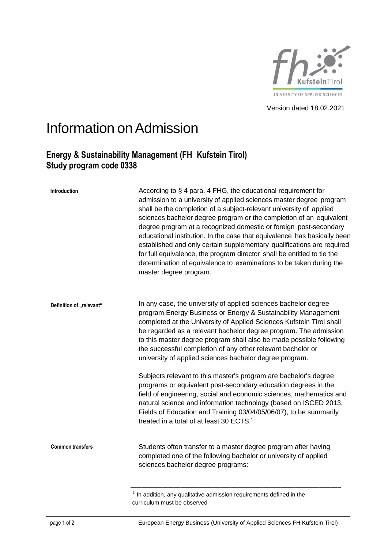

Version dated 18.02.2021

## Information on Admission

## **Energy & Sustainability Management (FH Kufstein Tirol) Study program code 0338**

| Introduction             | According to § 4 para. 4 FHG, the educational requirement for<br>admission to a university of applied sciences master degree program<br>shall be the completion of a subject-relevant university of applied<br>sciences bachelor degree program or the completion of an equivalent<br>degree program at a recognized domestic or foreign post-secondary<br>educational institution. In the case that equivalence has basically been<br>established and only certain supplementary qualifications are required<br>for full equivalence, the program director shall be entitled to tie the<br>determination of equivalence to examinations to be taken during the<br>master degree program. |
|--------------------------|-------------------------------------------------------------------------------------------------------------------------------------------------------------------------------------------------------------------------------------------------------------------------------------------------------------------------------------------------------------------------------------------------------------------------------------------------------------------------------------------------------------------------------------------------------------------------------------------------------------------------------------------------------------------------------------------|
| Definition of "relevant" | In any case, the university of applied sciences bachelor degree<br>program Energy Business or Energy & Sustainability Management<br>completed at the University of Applied Sciences Kufstein Tirol shall<br>be regarded as a relevant bachelor degree program. The admission<br>to this master degree program shall also be made possible following<br>the successful completion of any other relevant bachelor or<br>university of applied sciences bachelor degree program.                                                                                                                                                                                                             |
|                          | Subjects relevant to this master's program are bachelor's degree<br>programs or equivalent post-secondary education degrees in the<br>field of engineering, social and economic sciences, mathematics and<br>natural science and information technology (based on ISCED 2013,<br>Fields of Education and Training 03/04/05/06/07), to be summarily<br>treated in a total of at least 30 ECTS. <sup>1</sup>                                                                                                                                                                                                                                                                                |
| <b>Common transfers</b>  | Students often transfer to a master degree program after having<br>completed one of the following bachelor or university of applied<br>sciences bachelor degree programs:                                                                                                                                                                                                                                                                                                                                                                                                                                                                                                                 |

 $1$  In addition, any qualitative admission requirements defined in the curriculum must be observed

page 1 of 2 European Energy Business (University of Applied Sciences FH Kufstein Tirol)